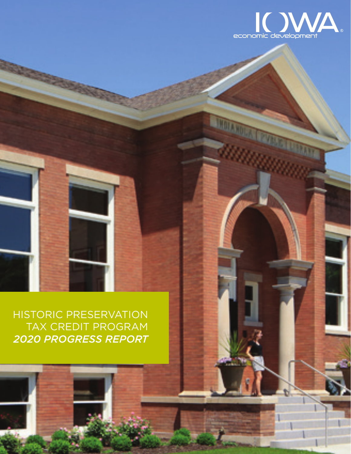

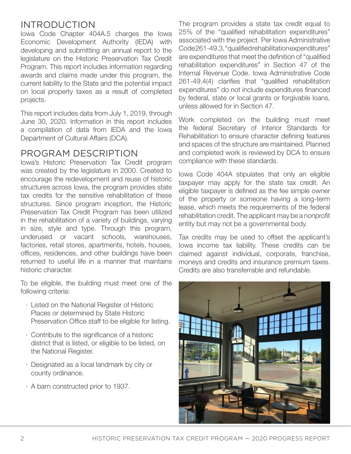### INTRODUCTION

Iowa Code Chapter 404A.5 charges the Iowa Economic Development Authority (IEDA) with developing and submitting an annual report to the legislature on the Historic Preservation Tax Credit Program. This report includes information regarding awards and claims made under this program, the current liability to the State and the potential impact on local property taxes as a result of completed projects.

This report includes data from July 1, 2019, through June 30, 2020. Information in this report includes a compilation of data from IEDA and the Iowa Department of Cultural Affairs (DCA).

### PROGRAM DESCRIPTION

Iowa's Historic Preservation Tax Credit program was created by the legislature in 2000. Created to encourage the redevelopment and reuse of historic structures across Iowa, the program provides state tax credits for the sensitive rehabilitation of these structures. Since program inception, the Historic Preservation Tax Credit Program has been utilized in the rehabilitation of a variety of buildings, varying in size, style and type. Through this program, underused or vacant schools, warehouses, factories, retail stores, apartments, hotels, houses, offices, residences, and other buildings have been returned to useful life in a manner that maintains historic character.

To be eligible, the building must meet one of the following criteria:

- · Listed on the National Register of Historic Places or determined by State Historic Preservation Office staff to be eligible for listing.
- · Contribute to the significance of a historic district that is listed, or eligible to be listed, on the National Register.
- · Designated as a local landmark by city or county ordinance.
- · A barn constructed prior to 1937.

The program provides a state tax credit equal to 25% of the "qualified rehabilitation expenditures" associated with the project. Per Iowa Administrative Code 261-49.3, "qualified rehabilitation expenditures" are expenditures that meet the definition of "qualified rehabilitation expenditures" in Section 47 of the Internal Revenue Code. Iowa Administrative Code 261-49.4(4) clarifies that "qualified rehabilitation expenditures" do not include expenditures financed by federal, state or local grants or forgivable loans, unless allowed for in Section 47.

Work completed on the building must meet the federal Secretary of Interior Standards for Rehabilitation to ensure character defining features and spaces of the structure are maintained. Planned and completed work is reviewed by DCA to ensure compliance with these standards.

Iowa Code 404A stipulates that only an eligible taxpayer may apply for the state tax credit. An eligible taxpayer is defined as the fee simple owner of the property or someone having a long-term lease, which meets the requirements of the federal rehabilitation credit. The applicant may be a nonprofit entity but may not be a governmental body.

Tax credits may be used to offset the applicant's Iowa income tax liability. These credits can be claimed against individual, corporate, franchise, moneys and credits and insurance premium taxes. Credits are also transferrable and refundable.

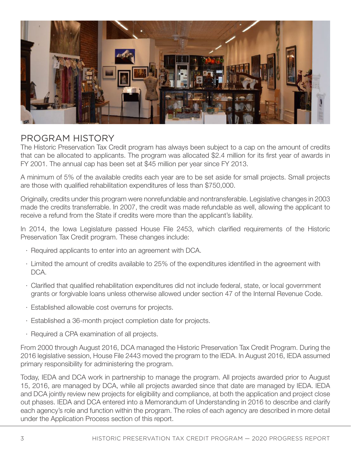

## PROGRAM HISTORY

The Historic Preservation Tax Credit program has always been subject to a cap on the amount of credits that can be allocated to applicants. The program was allocated \$2.4 million for its first year of awards in FY 2001. The annual cap has been set at \$45 million per year since FY 2013.

A minimum of 5% of the available credits each year are to be set aside for small projects. Small projects are those with qualified rehabilitation expenditures of less than \$750,000.

Originally, credits under this program were nonrefundable and nontransferable. Legislative changes in 2003 made the credits transferrable. In 2007, the credit was made refundable as well, allowing the applicant to receive a refund from the State if credits were more than the applicant's liability.

In 2014, the Iowa Legislature passed House File 2453, which clarified requirements of the Historic Preservation Tax Credit program. These changes include:

- · Required applicants to enter into an agreement with DCA.
- · Limited the amount of credits available to 25% of the expenditures identified in the agreement with DCA.
- · Clarified that qualified rehabilitation expenditures did not include federal, state, or local government grants or forgivable loans unless otherwise allowed under section 47 of the Internal Revenue Code.
- · Established allowable cost overruns for projects.
- · Established a 36-month project completion date for projects.
- · Required a CPA examination of all projects.

From 2000 through August 2016, DCA managed the Historic Preservation Tax Credit Program. During the 2016 legislative session, House File 2443 moved the program to the IEDA. In August 2016, IEDA assumed primary responsibility for administering the program.

Today, IEDA and DCA work in partnership to manage the program. All projects awarded prior to August 15, 2016, are managed by DCA, while all projects awarded since that date are managed by IEDA. IEDA and DCA jointly review new projects for eligibility and compliance, at both the application and project close out phases. IEDA and DCA entered into a Memorandum of Understanding in 2016 to describe and clarify each agency's role and function within the program. The roles of each agency are described in more detail under the Application Process section of this report.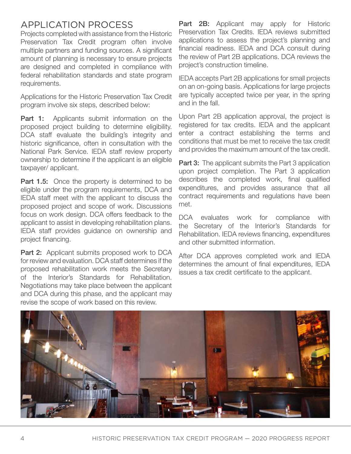# APPLICATION PROCESS

Projects completed with assistance from the Historic Preservation Tax Credit program often involve multiple partners and funding sources. A significant amount of planning is necessary to ensure projects are designed and completed in compliance with federal rehabilitation standards and state program requirements.

Applications for the Historic Preservation Tax Credit program involve six steps, described below:

**Part 1:** Applicants submit information on the proposed project building to determine eligibility. DCA staff evaluate the building's integrity and historic significance, often in consultation with the National Park Service. IEDA staff review property ownership to determine if the applicant is an eligible taxpayer/ applicant.

Part 1.5: Once the property is determined to be eligible under the program requirements, DCA and IEDA staff meet with the applicant to discuss the proposed project and scope of work. Discussions focus on work design. DCA offers feedback to the applicant to assist in developing rehabilitation plans. IEDA staff provides guidance on ownership and project financing.

Part 2: Applicant submits proposed work to DCA for review and evaluation. DCA staff determines if the proposed rehabilitation work meets the Secretary of the Interior's Standards for Rehabilitation. Negotiations may take place between the applicant and DCA during this phase, and the applicant may revise the scope of work based on this review.

**Part 2B:** Applicant may apply for Historic Preservation Tax Credits. IEDA reviews submitted applications to assess the project's planning and financial readiness. IEDA and DCA consult during the review of Part 2B applications. DCA reviews the project's construction timeline.

IEDA accepts Part 2B applications for small projects on an on-going basis. Applications for large projects are typically accepted twice per year, in the spring and in the fall.

Upon Part 2B application approval, the project is registered for tax credits. IEDA and the applicant enter a contract establishing the terms and conditions that must be met to receive the tax credit and provides the maximum amount of the tax credit.

**Part 3:** The applicant submits the Part 3 application upon project completion. The Part 3 application describes the completed work, final qualified expenditures, and provides assurance that all contract requirements and regulations have been met.

DCA evaluates work for compliance with the Secretary of the Interior's Standards for Rehabilitation. IEDA reviews financing, expenditures and other submitted information.

After DCA approves completed work and IEDA determines the amount of final expenditures, IEDA issues a tax credit certificate to the applicant.

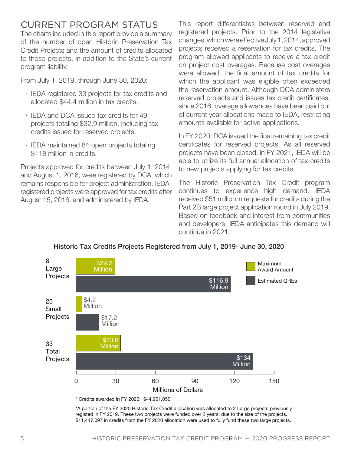## CURRENT PROGRAM STATUS

The charts included in this report provide a summary of the number of open Historic Preservation Tax Credit Projects and the amount of credits allocated to those projects, in addition to the State's current program liability.

From July 1, 2019, through June 30, 2020:

- · IEDA registered 33 projects for tax credits and allocated \$44.4 million in tax credits.
- · IEDA and DCA issued tax credits for 49 projects totaling \$32.9 million, including tax credits issued for reserved projects.
- · IEDA maintained 84 open projects totaling \$118 million in credits.

Projects approved for credits between July 1, 2014, and August 1, 2016, were registered by DCA, which remains responsible for project administration. IEDAregistered projects were approved for tax credits after August 15, 2016, and administered by IEDA.

This report differentiates between reserved and registered projects. Prior to the 2014 legislative changes, which were effective July 1, 2014, approved projects received a reservation for tax credits. The program allowed applicants to receive a tax credit on project cost overages. Because cost overages were allowed, the final amount of tax credits for which the applicant was eligible often exceeded the reservation amount. Although DCA administers reserved projects and issues tax credit certificates, since 2016, overage allowances have been paid out of current year allocations made to IEDA, restricting amounts available for active applications.

In FY 2020, DCA issued the final remaining tax credit certificates for reserved projects. As all reserved projects have been closed, in FY 2021, IEDA will be able to utilize its full annual allocation of tax credits to new projects applying for tax credits.

The Historic Preservation Tax Credit program continues to experience high demand. IEDA received \$51 million in requests for credits during the Part 2B large project application round in July 2019. Based on feedback and interest from communities and developers, IEDA anticipates this demand will continue in 2021.



Historic Tax Credits Projects Registered from July 1, 2019- June 30, 2020

\$11,447,097 in credits from the FY 2020 allocation were used to fully fund these two large projects.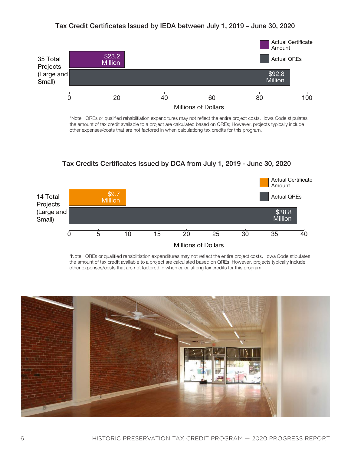#### Tax Credit Certificates Issued by IEDA between July 1, 2019 – June 30, 2020



\*Note: QREs or qualified rehabiltiation expenditures may not reflect the entire project costs. Iowa Code stipulates the amount of tax credit available to a project are calculated based on QREs; However, projects typically include other expenses/costs that are not factored in when calculationg tax credits for this program.

#### Tax Credits Certificates Issued by DCA from July 1, 2019 - June 30, 2020



\*Note: QREs or qualified rehabiltiation expenditures may not reflect the entire project costs. Iowa Code stipulates the amount of tax credit available to a project are calculated based on QREs; However, projects typically include other expenses/costs that are not factored in when calculationg tax credits for this program.

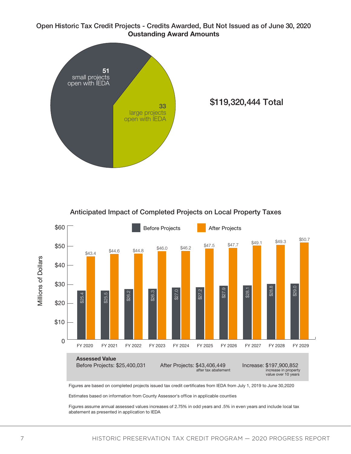#### Open Historic Tax Credit Projects - Credits Awarded, But Not Issued as of June 30, 2020 **Oustanding Award Amounts**



\$119,320,444 Total

Anticipated Impact of Completed Projects on Local Property Taxes



Figures are based on completed projects issued tax credit certificates from IEDA from July 1, 2019 to June 30,2020

Estimates based on information from County Assessor's office in applicable counties

Figures assume annual assessed values increases of 2.75% in odd years and .5% in even years and include local tax abatement as presented in application to IEDA